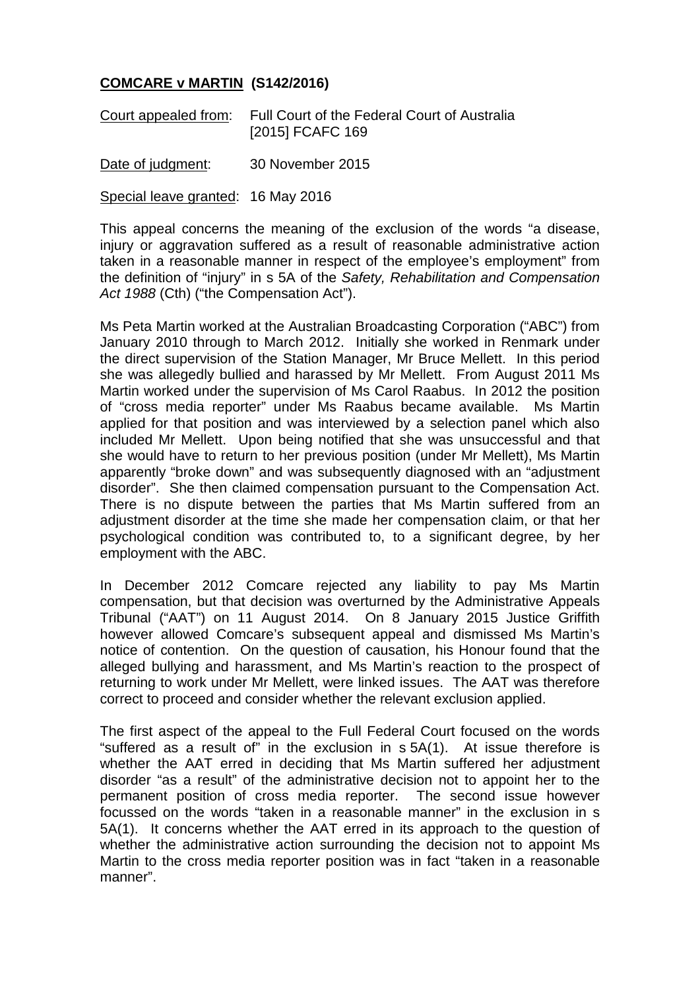## **COMCARE v MARTIN (S142/2016)**

| Court appealed from: | Full Court of the Federal Court of Australia |
|----------------------|----------------------------------------------|
|                      | [2015] FCAFC 169                             |

Date of judgment: 30 November 2015

Special leave granted: 16 May 2016

This appeal concerns the meaning of the exclusion of the words "a disease, injury or aggravation suffered as a result of reasonable administrative action taken in a reasonable manner in respect of the employee's employment" from the definition of "injury" in s 5A of the *Safety, Rehabilitation and Compensation Act 1988* (Cth) ("the Compensation Act").

Ms Peta Martin worked at the Australian Broadcasting Corporation ("ABC") from January 2010 through to March 2012. Initially she worked in Renmark under the direct supervision of the Station Manager, Mr Bruce Mellett. In this period she was allegedly bullied and harassed by Mr Mellett. From August 2011 Ms Martin worked under the supervision of Ms Carol Raabus. In 2012 the position of "cross media reporter" under Ms Raabus became available. Ms Martin applied for that position and was interviewed by a selection panel which also included Mr Mellett. Upon being notified that she was unsuccessful and that she would have to return to her previous position (under Mr Mellett), Ms Martin apparently "broke down" and was subsequently diagnosed with an "adjustment disorder". She then claimed compensation pursuant to the Compensation Act. There is no dispute between the parties that Ms Martin suffered from an adjustment disorder at the time she made her compensation claim, or that her psychological condition was contributed to, to a significant degree, by her employment with the ABC.

In December 2012 Comcare rejected any liability to pay Ms Martin compensation, but that decision was overturned by the Administrative Appeals Tribunal ("AAT") on 11 August 2014. On 8 January 2015 Justice Griffith however allowed Comcare's subsequent appeal and dismissed Ms Martin's notice of contention. On the question of causation, his Honour found that the alleged bullying and harassment, and Ms Martin's reaction to the prospect of returning to work under Mr Mellett, were linked issues. The AAT was therefore correct to proceed and consider whether the relevant exclusion applied.

The first aspect of the appeal to the Full Federal Court focused on the words "suffered as a result of" in the exclusion in s 5A(1). At issue therefore is whether the AAT erred in deciding that Ms Martin suffered her adjustment disorder "as a result" of the administrative decision not to appoint her to the permanent position of cross media reporter. The second issue however focussed on the words "taken in a reasonable manner" in the exclusion in s 5A(1). It concerns whether the AAT erred in its approach to the question of whether the administrative action surrounding the decision not to appoint Ms Martin to the cross media reporter position was in fact "taken in a reasonable manner".